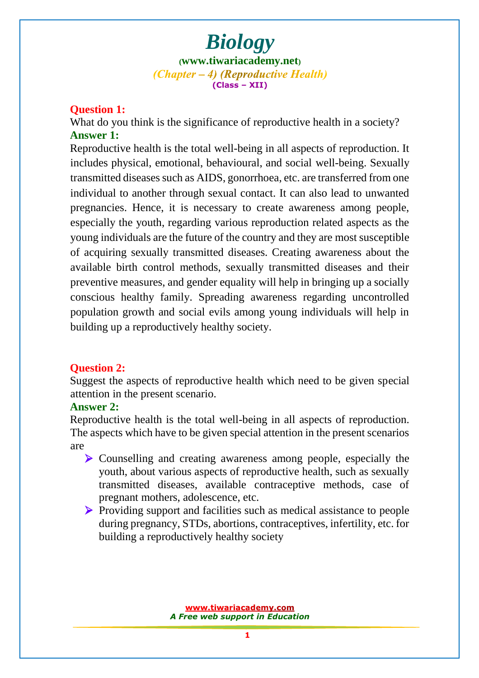# *Biology* **([www.tiwariacademy.net](http://www.tiwariacademy.net/))**  $(Chapter - 4)$  (Reproductive Health) **(Class – XII)**

## **Question 1:**

What do you think is the significance of reproductive health in a society? **Answer 1:**

Reproductive health is the total well-being in all aspects of reproduction. It includes physical, emotional, behavioural, and social well-being. Sexually transmitted diseases such as AIDS, gonorrhoea, etc. are transferred from one individual to another through sexual contact. It can also lead to unwanted pregnan[cies. Hence, it is necessary to create awareness among](www.tiwariacademy.com) people, especially the youth, regarding various reproduction related aspects as the young individuals are the future of the country and they are most susceptible of acquiring sexually transmitted diseases. Creating awareness about the available birth control methods, sexually transmitted diseases and their preventive measures, and gender equality will help in bringing up a socially conscious healthy family. Spreading awareness regarding uncontrolled population growth and social evils among young individuals will help in building up a reproductively healthy society.

## **Question 2:**

Suggest the aspects of reproductive health which need to be given special attention in the present scenario.

#### **Answer 2:**

Reproductive health is the total well-being in all aspects of reproduction. The aspects which have to be given special attention in the present scenarios are

- Counselling and creating awareness among people, especially the youth, about various aspects of reproductive health, such as sexually transmitted diseases, available contraceptive methods, case of pregnant mothers, adolescence, etc.
- Providing support and facilities such as medical assistance to people during pregnancy, STDs, abortions, contraceptives, infertility, etc. for building a reproductively healthy society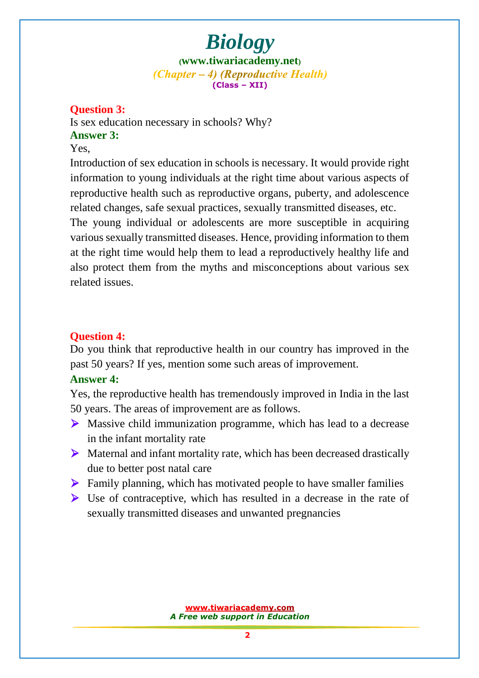# *Biology*

**([www.tiwariacademy.net](http://www.tiwariacademy.net/))**  $(Chapter - 4)$  (Reproductive Health) **(Class – XII)**

## **Question 3:**

Is sex education necessary in schools? Why? **Answer 3:**

## Yes,

Introduction of sex education in schools is necessary. It would provide right information to young individuals at the right time about various aspects of reproductive health such as reproductive organs, puberty, and adolescence related changes, safe sexual practices, sexually transmitted diseases, etc.

The young individual or adolescents are more susceptible in acquiring various sexually transmitted diseases. Hence, providing information to them at the right time would help them to lead a reproductively healthy life and also protect them from the myths and misconceptions about various sex related issues.

## **Question 4:**

Do you think that reproductive health in our country has improved in the past 50 years? If yes, mention some such areas of improvement.

## **Answer 4:**

Yes, the reproductive healt[h has tremendously improved in Indi](www.tiwariacademy.com)a in the last 50 years. The areas of improvement are as follows.

- Massive child immunization programme, which has lead to a decrease in the infant mortality rate
- $\triangleright$  Maternal and infant mortality rate, which has been decreased drastically due to better post natal care
- $\triangleright$  Family planning, which has motivated people to have smaller families
- Use of contraceptive, which has resulted in a decrease in the rate of sexually transmitted diseases and unwanted pregnancies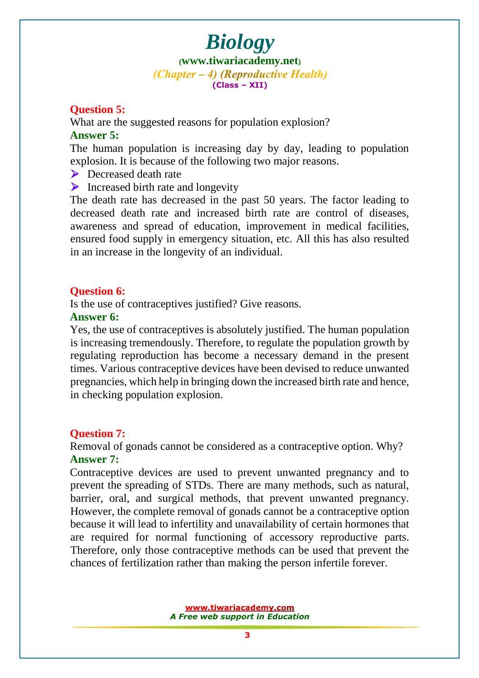# *Biology*

**([www.tiwariacademy.net](http://www.tiwariacademy.net/))**  $(Chapter - 4)$  (Reproductive Health) **(Class – XII)**

### **Question 5:**

What are the suggested reasons for population explosion? **Answer 5:**

The human population is increasing day by day, leading to population explosion. It is because of the following two major reasons.

▶ Decreased death rate

 $\triangleright$  Increased birth rate and longevity

The death rate has decreased in the past 50 years. The factor leading to decreased death rate and increased birth rate are control of diseases, awareness and spread of education, improvement in medical facilities, ensured food supply in emergency situation, etc. All this has also resulted in an increase in the longevity of an individual.

#### **Question 6:**

Is the use of contraceptives justified? Give reasons.

#### **Answer 6:**

Yes, the use of contraceptives is absolutely justified. The human population is increasing tremendously. Therefore, to regulate the population growth by regulating reproduction has become a necessary demand in the present times. Various contraceptive devices have been devised to reduce unwanted pregnancies, which help in bringing down the increased birth rate and hence, in checking population explosion.

#### **Question 7:**

Removal of gonads cannot be considered as a contraceptive option. Why? **Answer 7:**

Contraceptive devices are used to prevent unwanted pregnancy and to prevent the spreadi[ng of STDs. There are many methods, such a](www.tiwariacademy.com)s natural, barrier, oral, and surgical methods, that prevent unwanted pregnancy. However, the complete removal of gonads cannot be a contraceptive option because it will lead to infertility and unavailability of certain hormones that are required for normal functioning of accessory reproductive parts. Therefore, only those contraceptive methods can be used that prevent the chances of fertilization rather than making the person infertile forever.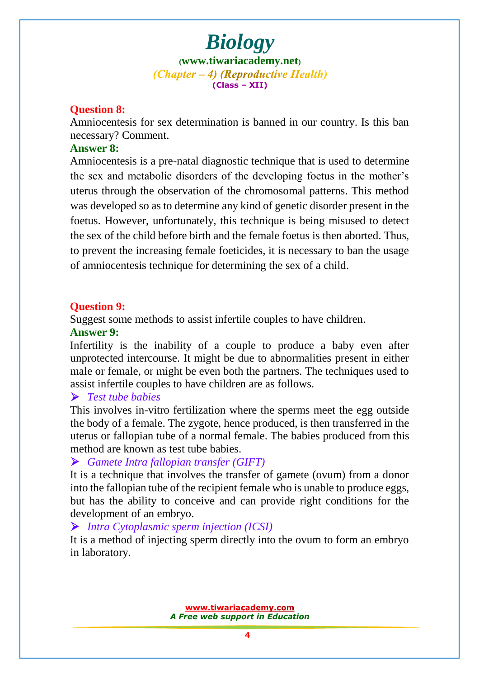*Biology* **([www.tiwariacademy.net](http://www.tiwariacademy.net/))**  $(Chapter - 4)$  (Reproductive Health) **(Class – XII)**

#### **Question 8:**

Amniocentesis for sex determination is banned in our country. Is this ban necessary? Comment.

#### **Answer 8:**

Amniocentesis is a pre-natal diagnostic technique that is used to determine the sex and metabolic disorders of the developing foetus in the mother's uterus through the observation of the chromosomal patterns. This method was developed so as to determine any kind of genetic disorder present in the foetus. However, unfortunately, this technique is being misused to detect the sex of the child before birth and the female foetus is then aborted. Thus, to prevent the increasing female foeticides, it is necessary to ban the usage of amniocentesis technique for determining the sex of a child.

#### **Question 9:**

Suggest some methods to assist infertile couples to have children.

#### **Answer 9:**

Infertility is the inability of a couple to produce a baby even after unprotected intercourse. It might be due to abnormalities present in either male or female, or might be even both the partners. The techniques used to assist infertile couples to have children are as follows.

## *Test tube babies*

This involves in-vitro fertilization where the sperms meet the egg outside the body of a female. The zygote, hence produced, is then transferred in the uterus or fallopian tube of a normal female. The babies produced from this method are known as test tube babies.

#### *Gamete Intra fallopian transfer (GIFT)*

It is a technique that involves the transfer of gamete (ovum) from a donor into the fallopian tube of the recipient female who is unable to produce eggs, but has the ability to conceive and can provide right conditions for the development of an embryo.

#### *Intra Cytoplasmic sperm injection (ICSI)*

It is a method of injecting sperm directly into the ovum to form an embryo in laboratory.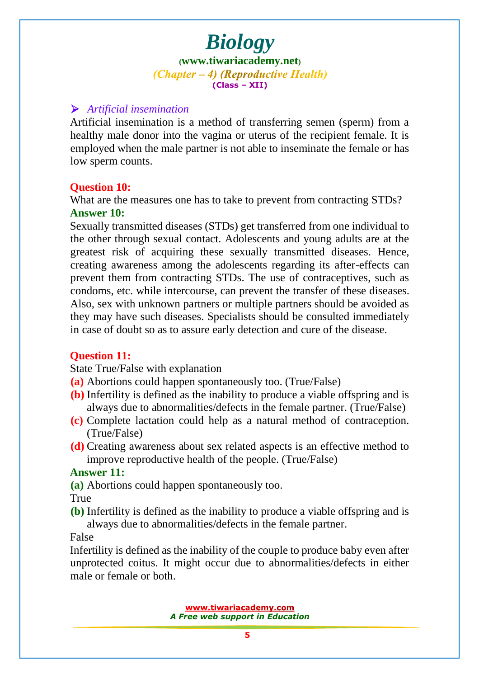# *Biology*

**([www.tiwariacademy.net](http://www.tiwariacademy.net/))**  $(Chapter - 4)$  (Reproductive Health) **(Class – XII)**

## *Artificial insemination*

Artificial insemination is a method of transferring semen (sperm) from a healthy male donor into the vagina or uterus of the recipient female. It is employed when the male partner is not able to inseminate the female or has low sperm counts.

## **Question 10:**

What are the measures one has to take to prevent from contracting STDs? **Answer 10:**

Sexually transmitted diseases (STDs) get transferred from one individual to the other through sexual contact. Adolescents and young adults are at the greatest risk of [acquiring these sexually transmitted disea](www.tiwariacademy.com)ses. Hence, creating awareness among the adolescents regarding its after-effects can prevent them from contracting STDs. The use of contraceptives, such as condoms, etc. while intercourse, can prevent the transfer of these diseases. Also, sex with unknown partners or multiple partners should be avoided as they may have such diseases. Specialists should be consulted immediately in case of doubt so as to assure early detection and cure of the disease.

## **Question 11:**

State True/False with explanation

- **(a)** Abortions could happen spontaneously too. (True/False)
- **(b)** Infertility is defined as the inability to produce a viable offspring and is always due to abnormalities/defects in the female partner. (True/False)
- **(c)** Complete lactation could help as a natural method of contraception. (True/False)
- **(d)** Creating awareness about sex related aspects is an effective method to improve reproductive health of the people. (True/False)

## **Answer 11:**

**(a)** Abortions could happen spontaneously too.

True

**(b)** Infertility is defined as the inability to produce a viable offspring and is always due to abnormalities/defects in the female partner.

## False

Infertility is defined as the inability of the couple to produce baby even after unprotected coitus. It might occur due to abnormalities/defects in either male or female or both.